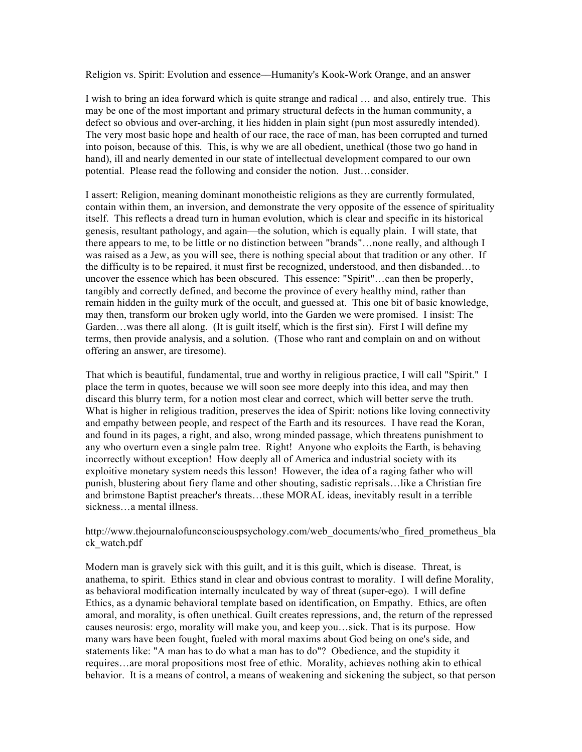Religion vs. Spirit: Evolution and essence––Humanity's Kook-Work Orange, and an answer

I wish to bring an idea forward which is quite strange and radical … and also, entirely true. This may be one of the most important and primary structural defects in the human community, a defect so obvious and over-arching, it lies hidden in plain sight (pun most assuredly intended). The very most basic hope and health of our race, the race of man, has been corrupted and turned into poison, because of this. This, is why we are all obedient, unethical (those two go hand in hand), ill and nearly demented in our state of intellectual development compared to our own potential. Please read the following and consider the notion. Just…consider.

I assert: Religion, meaning dominant monotheistic religions as they are currently formulated, contain within them, an inversion, and demonstrate the very opposite of the essence of spirituality itself. This reflects a dread turn in human evolution, which is clear and specific in its historical genesis, resultant pathology, and again––the solution, which is equally plain. I will state, that there appears to me, to be little or no distinction between "brands"…none really, and although I was raised as a Jew, as you will see, there is nothing special about that tradition or any other. If the difficulty is to be repaired, it must first be recognized, understood, and then disbanded…to uncover the essence which has been obscured. This essence: "Spirit"…can then be properly, tangibly and correctly defined, and become the province of every healthy mind, rather than remain hidden in the guilty murk of the occult, and guessed at. This one bit of basic knowledge, may then, transform our broken ugly world, into the Garden we were promised. I insist: The Garden…was there all along. (It is guilt itself, which is the first sin). First I will define my terms, then provide analysis, and a solution. (Those who rant and complain on and on without offering an answer, are tiresome).

That which is beautiful, fundamental, true and worthy in religious practice, I will call "Spirit." I place the term in quotes, because we will soon see more deeply into this idea, and may then discard this blurry term, for a notion most clear and correct, which will better serve the truth. What is higher in religious tradition, preserves the idea of Spirit: notions like loving connectivity and empathy between people, and respect of the Earth and its resources. I have read the Koran, and found in its pages, a right, and also, wrong minded passage, which threatens punishment to any who overturn even a single palm tree. Right! Anyone who exploits the Earth, is behaving incorrectly without exception! How deeply all of America and industrial society with its exploitive monetary system needs this lesson! However, the idea of a raging father who will punish, blustering about fiery flame and other shouting, sadistic reprisals…like a Christian fire and brimstone Baptist preacher's threats…these MORAL ideas, inevitably result in a terrible sickness…a mental illness.

http://www.thejournalofunconsciouspsychology.com/web\_documents/who\_fired\_prometheus\_bla ck\_watch.pdf

Modern man is gravely sick with this guilt, and it is this guilt, which is disease. Threat, is anathema, to spirit. Ethics stand in clear and obvious contrast to morality. I will define Morality, as behavioral modification internally inculcated by way of threat (super-ego). I will define Ethics, as a dynamic behavioral template based on identification, on Empathy. Ethics, are often amoral, and morality, is often unethical. Guilt creates repressions, and, the return of the repressed causes neurosis: ergo, morality will make you, and keep you…sick. That is its purpose. How many wars have been fought, fueled with moral maxims about God being on one's side, and statements like: "A man has to do what a man has to do"? Obedience, and the stupidity it requires…are moral propositions most free of ethic. Morality, achieves nothing akin to ethical behavior. It is a means of control, a means of weakening and sickening the subject, so that person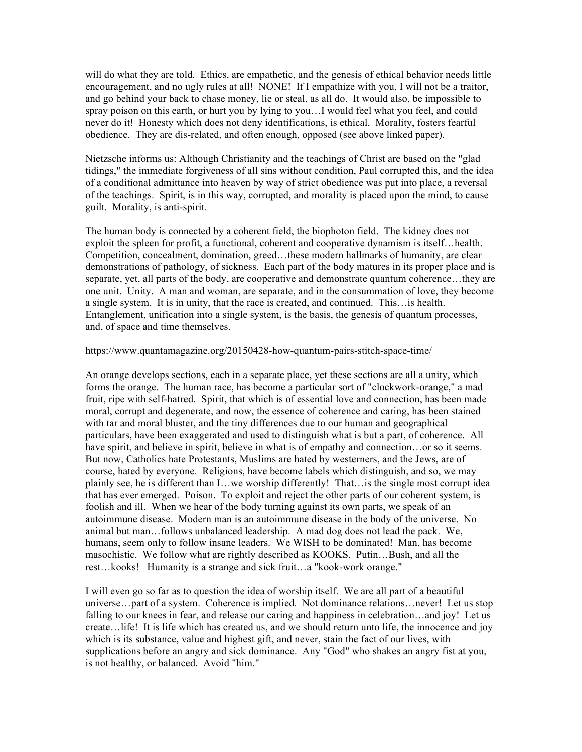will do what they are told. Ethics, are empathetic, and the genesis of ethical behavior needs little encouragement, and no ugly rules at all! NONE! If I empathize with you, I will not be a traitor, and go behind your back to chase money, lie or steal, as all do. It would also, be impossible to spray poison on this earth, or hurt you by lying to you…I would feel what you feel, and could never do it! Honesty which does not deny identifications, is ethical. Morality, fosters fearful obedience. They are dis-related, and often enough, opposed (see above linked paper).

Nietzsche informs us: Although Christianity and the teachings of Christ are based on the "glad tidings," the immediate forgiveness of all sins without condition, Paul corrupted this, and the idea of a conditional admittance into heaven by way of strict obedience was put into place, a reversal of the teachings. Spirit, is in this way, corrupted, and morality is placed upon the mind, to cause guilt. Morality, is anti-spirit.

The human body is connected by a coherent field, the biophoton field. The kidney does not exploit the spleen for profit, a functional, coherent and cooperative dynamism is itself...health. Competition, concealment, domination, greed...these modern hallmarks of humanity, are clear demonstrations of pathology, of sickness. Each part of the body matures in its proper place and is separate, yet, all parts of the body, are cooperative and demonstrate quantum coherence…they are one unit. Unity. A man and woman, are separate, and in the consummation of love, they become a single system. It is in unity, that the race is created, and continued. This…is health. Entanglement, unification into a single system, is the basis, the genesis of quantum processes, and, of space and time themselves.

https://www.quantamagazine.org/20150428-how-quantum-pairs-stitch-space-time/

An orange develops sections, each in a separate place, yet these sections are all a unity, which forms the orange. The human race, has become a particular sort of "clockwork-orange," a mad fruit, ripe with self-hatred. Spirit, that which is of essential love and connection, has been made moral, corrupt and degenerate, and now, the essence of coherence and caring, has been stained with tar and moral bluster, and the tiny differences due to our human and geographical particulars, have been exaggerated and used to distinguish what is but a part, of coherence. All have spirit, and believe in spirit, believe in what is of empathy and connection... or so it seems. But now, Catholics hate Protestants, Muslims are hated by westerners, and the Jews, are of course, hated by everyone. Religions, have become labels which distinguish, and so, we may plainly see, he is different than I…we worship differently! That…is the single most corrupt idea that has ever emerged. Poison. To exploit and reject the other parts of our coherent system, is foolish and ill. When we hear of the body turning against its own parts, we speak of an autoimmune disease. Modern man is an autoimmune disease in the body of the universe. No animal but man…follows unbalanced leadership. A mad dog does not lead the pack. We, humans, seem only to follow insane leaders. We WISH to be dominated! Man, has become masochistic. We follow what are rightly described as KOOKS. Putin…Bush, and all the rest…kooks! Humanity is a strange and sick fruit…a "kook-work orange."

I will even go so far as to question the idea of worship itself. We are all part of a beautiful universe…part of a system. Coherence is implied. Not dominance relations…never! Let us stop falling to our knees in fear, and release our caring and happiness in celebration…and joy! Let us create…life! It is life which has created us, and we should return unto life, the innocence and joy which is its substance, value and highest gift, and never, stain the fact of our lives, with supplications before an angry and sick dominance. Any "God" who shakes an angry fist at you, is not healthy, or balanced. Avoid "him."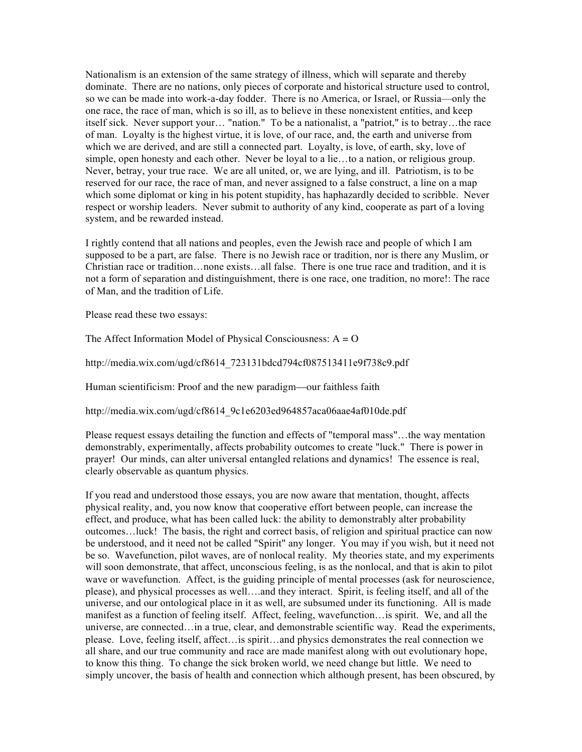Nationalism is an extension of the same strategy of illness, which will separate and thereby dominate. There are no nations, only pieces of corporate and historical structure used to control, so we can be made into work-a-day fodder. There is no America, or Israel, or Russia––only the one race, the race of man, which is so ill, as to believe in these nonexistent entities, and keep itself sick. Never support your… "nation." To be a nationalist, a "patriot," is to betray…the race of man. Loyalty is the highest virtue, it is love, of our race, and, the earth and universe from which we are derived, and are still a connected part. Loyalty, is love, of earth, sky, love of simple, open honesty and each other. Never be loyal to a lie…to a nation, or religious group. Never, betray, your true race. We are all united, or, we are lying, and ill. Patriotism, is to be reserved for our race, the race of man, and never assigned to a false construct, a line on a map which some diplomat or king in his potent stupidity, has haphazardly decided to scribble. Never respect or worship leaders. Never submit to authority of any kind, cooperate as part of a loving system, and be rewarded instead.

I rightly contend that all nations and peoples, even the Jewish race and people of which I am supposed to be a part, are false. There is no Jewish race or tradition, nor is there any Muslim, or Christian race or tradition…none exists…all false. There is one true race and tradition, and it is not a form of separation and distinguishment, there is one race, one tradition, no more!: The race of Man, and the tradition of Life.

Please read these two essays:

The Affect Information Model of Physical Consciousness:  $A = O$ 

http://media.wix.com/ugd/cf8614\_723131bdcd794cf087513411e9f738c9.pdf

Human scientificism: Proof and the new paradigm––our faithless faith

http://media.wix.com/ugd/cf8614\_9c1e6203ed964857aca06aae4af010de.pdf

Please request essays detailing the function and effects of "temporal mass"…the way mentation demonstrably, experimentally, affects probability outcomes to create "luck." There is power in prayer! Our minds, can alter universal entangled relations and dynamics! The essence is real, clearly observable as quantum physics.

If you read and understood those essays, you are now aware that mentation, thought, affects physical reality, and, you now know that cooperative effort between people, can increase the effect, and produce, what has been called luck: the ability to demonstrably alter probability outcomes…luck! The basis, the right and correct basis, of religion and spiritual practice can now be understood, and it need not be called "Spirit" any longer. You may if you wish, but it need not be so. Wavefunction, pilot waves, are of nonlocal reality. My theories state, and my experiments will soon demonstrate, that affect, unconscious feeling, is as the nonlocal, and that is akin to pilot wave or wavefunction. Affect, is the guiding principle of mental processes (ask for neuroscience, please), and physical processes as well….and they interact. Spirit, is feeling itself, and all of the universe, and our ontological place in it as well, are subsumed under its functioning. All is made manifest as a function of feeling itself. Affect, feeling, wavefunction…is spirit. We, and all the universe, are connected…in a true, clear, and demonstrable scientific way. Read the experiments, please. Love, feeling itself, affect…is spirit…and physics demonstrates the real connection we all share, and our true community and race are made manifest along with out evolutionary hope, to know this thing. To change the sick broken world, we need change but little. We need to simply uncover, the basis of health and connection which although present, has been obscured, by